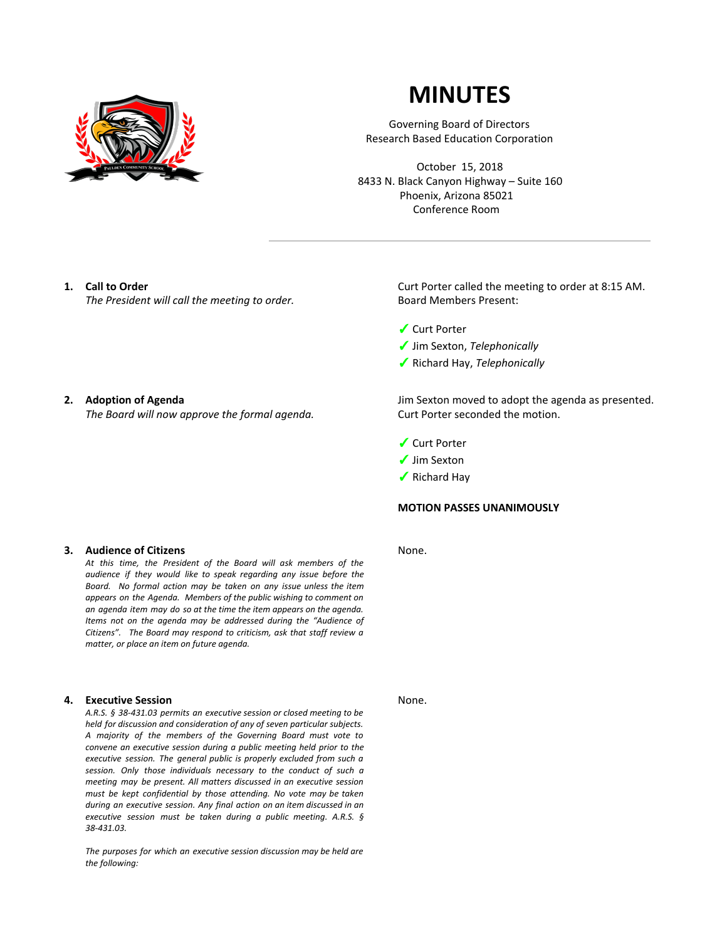

# **MINUTES**

Governing Board of Directors Research Based Education Corporation

October 15, 2018 8433 N. Black Canyon Highway – Suite 160 Phoenix, Arizona 85021 Conference Room

## **1. Call to Order**

*The President will call the meeting to order.*

### **2. Adoption of Agenda**

*The Board will now approve the formal agenda.*

## **3. Audience of Citizens**

*At this time, the President of the Board will ask members of the audience if they would like to speak regarding any issue before the Board. No formal action may be taken on any issue unless the item appears on the Agenda. Members of the public wishing to comment on an agenda item may do so at the time the item appears on the agenda. Items not on the agenda may be addressed during the "Audience of Citizens". The Board may respond to criticism, ask that staff review a matter, or place an item on future agenda.*

#### **4. Executive Session**

*A.R.S. § 38-431.03 permits an executive session or closed meeting to be held for discussion and consideration of any of seven particular subjects. A majority of the members of the Governing Board must vote to convene an executive session during a public meeting held prior to the executive session. The general public is properly excluded from such a session. Only those individuals necessary to the conduct of such a meeting may be present. All matters discussed in an executive session must be kept confidential by those attending. No vote may be taken during an executive session. Any final action on an item discussed in an executive session must be taken during a public meeting. A.R.S. § 38-431.03.*

*The purposes for which an executive session discussion may be held are the following:*

Curt Porter called the meeting to order at 8:15 AM. Board Members Present:

- ✓ Curt Porter
- ✓ Jim Sexton, *Telephonically*
- ✓ Richard Hay, *Telephonically*

Jim Sexton moved to adopt the agenda as presented. Curt Porter seconded the motion.

- ✓ Curt Porter
- ✓ Jim Sexton
- ✓ Richard Hay

## **MOTION PASSES UNANIMOUSLY**

None.

None.